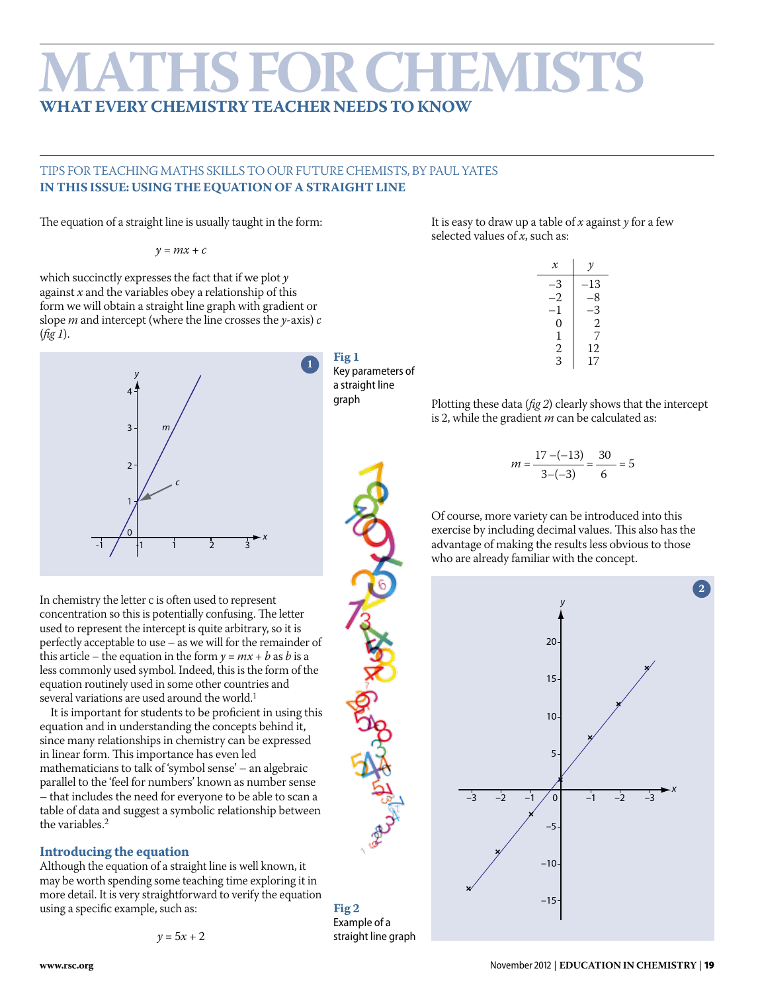# **MATHS FOR CH emists**

**Fig 1** 

**1**

Key parameters of a straight line graph

**Fig 2**  Example of a

# Tips for teaching maths skills to our future chemists, by Paul Yates **In this issue: Using the equation of a straight line**

The equation of a straight line is usually taught in the form:

 $y = mx + c$ 

which succinctly expresses the fact that if we plot *y* against *x* and the variables obey a relationship of this form we will obtain a straight line graph with gradient or slope *m* and intercept (where the line crosses the *y*-axis) *c* (*fig 1*).



In chemistry the letter c is often used to represent concentration so this is potentially confusing. The letter used to represent the intercept is quite arbitrary, so it is perfectly acceptable to use – as we will for the remainder of this article – the equation in the form  $y = mx + b$  as *b* is a less commonly used symbol. Indeed, this is the form of the equation routinely used in some other countries and several variations are used around the world.<sup>1</sup>

It is important for students to be proficient in using this equation and in understanding the concepts behind it, since many relationships in chemistry can be expressed in linear form. This importance has even led mathematicians to talk of 'symbol sense' – an algebraic parallel to the 'feel for numbers' known as number sense – that includes the need for everyone to be able to scan a table of data and suggest a symbolic relationship between the variables.2

# **Introducing the equation**

Although the equation of a straight line is well known, it may be worth spending some teaching time exploring it in more detail. It is very straightforward to verify the equation using a specific example, such as:

 $y = 5x + 2$ 

It is easy to draw up a table of *x* against *y* for a few selected values of *x*, such as:

| $\mathcal X$ |     |
|--------------|-----|
| -3           | -13 |
| -2           | -8  |
| -1           | -3  |
| 0            | 2   |
| 1            | 7   |
| 2            | 12  |
| 3            | 17  |

Plotting these data (*fig 2*) clearly shows that the intercept is 2, while the gradient *m* can be calculated as:

$$
m = \frac{17 - (-13)}{3 - (-3)} = \frac{30}{6} = 5
$$

Of course, more variety can be introduced into this exercise by including decimal values. This also has the advantage of making the results less obvious to those who are already familiar with the concept.

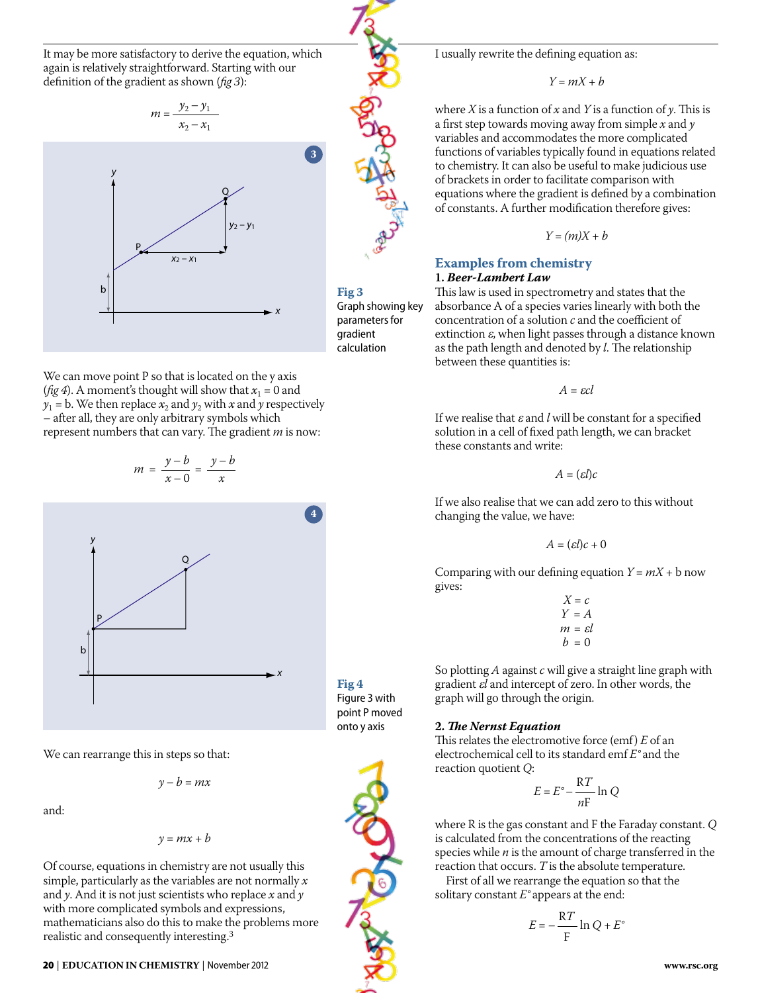It may be more satisfactory to derive the equation, which again is relatively straightforward. Starting with our definition of the gradient as shown (*fig 3*):

$$
m = \frac{y_2 - y_1}{x - x}
$$



We can move point P so that is located on the y axis (*fig 4*). A moment's thought will show that  $x_1 = 0$  and  $y_1 = b$ . We then replace  $x_2$  and  $y_2$  with  $x$  and  $y$  respectively – after all, they are only arbitrary symbols which represent numbers that can vary. The gradient *m* is now:

$$
m = \frac{y-b}{x-0} = \frac{y-b}{x}
$$



We can rearrange this in steps so that:

$$
y-b=mx
$$

and:

$$
y = mx + b
$$

Of course, equations in chemistry are not usually this simple, particularly as the variables are not normally *x* and *y*. And it is not just scientists who replace *x* and *y* with more complicated symbols and expressions, mathematicians also do this to make the problems more realistic and consequently interesting.3

#### 20 | **Education in Chemistry** | November 2012 **www.rsc.org**



**Fig 3** Graph showing key parameters for gradient calculation

I usually rewrite the defining equation as:

*Y = mX + b*

where *X* is a function of *x* and *Y* is a function of *y*. This is a first step towards moving away from simple *x* and *y* variables and accommodates the more complicated functions of variables typically found in equations related to chemistry. It can also be useful to make judicious use of brackets in order to facilitate comparison with equations where the gradient is defined by a combination of constants. A further modification therefore gives:

$$
Y\!=\!(m)X+b
$$

### **Examples from chemistry 1.** *Beer-Lambert Law*

This law is used in spectrometry and states that the absorbance A of a species varies linearly with both the concentration of a solution *c* and the coefficient of extinction  $\varepsilon$ , when light passes through a distance known as the path length and denoted by *l*. The relationship between these quantities is:

 $A = \varepsilon c l$ 

If we realise that  $\varepsilon$  and  $l$  will be constant for a specified solution in a cell of fixed path length, we can bracket these constants and write:

$$
A=(\varepsilon l)c
$$

If we also realise that we can add zero to this without changing the value, we have:

$$
A=(\varepsilon l)c+0
$$

Comparing with our defining equation  $Y = mX + b$  now gives:

> *X = c Y = A*  $m = \varepsilon l$  $h = 0$

So plotting *A* against *c* will give a straight line graph with gradient e*l* and intercept of zero. In other words, the graph will go through the origin.

# **2.** *The Nernst Equation*

This relates the electromotive force (emf) *E* of an electrochemical cell to its standard emf *E°* and the reaction quotient *Q*:

$$
E = E^{\circ} - \frac{RT}{nF} \ln Q
$$

where R is the gas constant and F the Faraday constant. *Q*  is calculated from the concentrations of the reacting species while *n* is the amount of charge transferred in the reaction that occurs. *T* is the absolute temperature.

First of all we rearrange the equation so that the solitary constant *E°* appears at the end:

$$
E = -\frac{RT}{F} \ln Q + E^{\circ}
$$